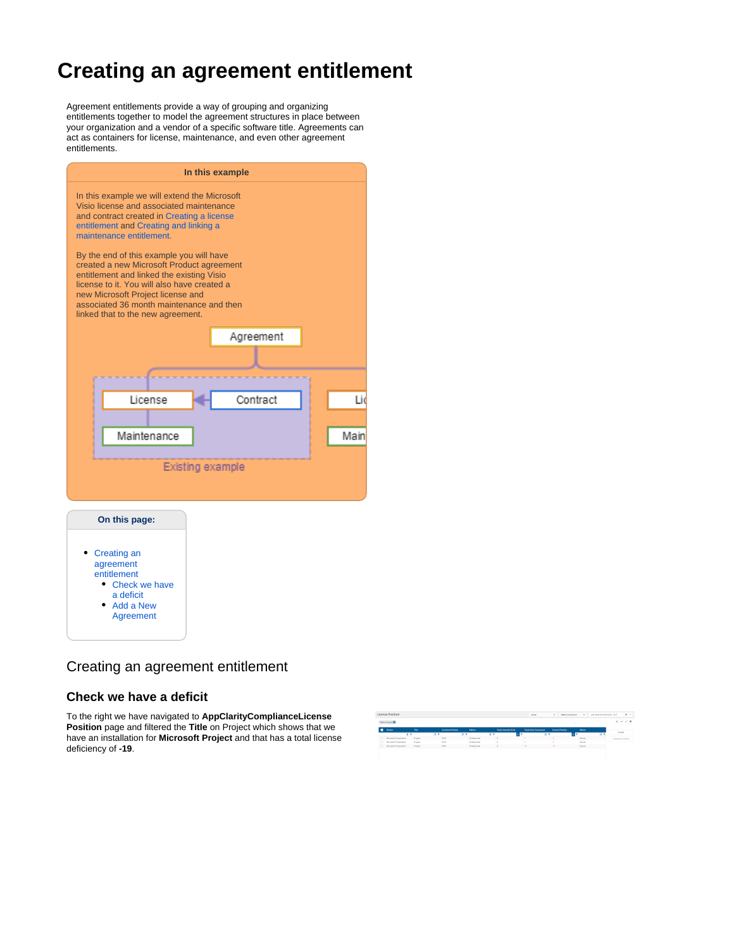## **Creating an agreement entitlement**

Agreement entitlements provide a way of grouping and organizing entitlements together to model the agreement structures in place between your organization and a vendor of a specific software title. Agreements can act as containers for license, maintenance, and even other agreement entitlements.

| In this example                                                                                                                                                                                                                                                                                                                                                                                                                                                                                                         |                 |      |  |  |  |  |  |  |  |  |
|-------------------------------------------------------------------------------------------------------------------------------------------------------------------------------------------------------------------------------------------------------------------------------------------------------------------------------------------------------------------------------------------------------------------------------------------------------------------------------------------------------------------------|-----------------|------|--|--|--|--|--|--|--|--|
| In this example we will extend the Microsoft<br>Visio license and associated maintenance<br>and contract created in Creating a license<br>entitlement and Creating and linking a<br>maintenance entitlement.<br>By the end of this example you will have<br>created a new Microsoft Product agreement<br>entitlement and linked the existing Visio<br>license to it. You will also have created a<br>new Microsoft Project license and<br>associated 36 month maintenance and then<br>linked that to the new agreement. |                 |      |  |  |  |  |  |  |  |  |
|                                                                                                                                                                                                                                                                                                                                                                                                                                                                                                                         |                 |      |  |  |  |  |  |  |  |  |
|                                                                                                                                                                                                                                                                                                                                                                                                                                                                                                                         | Agreement       |      |  |  |  |  |  |  |  |  |
|                                                                                                                                                                                                                                                                                                                                                                                                                                                                                                                         |                 |      |  |  |  |  |  |  |  |  |
|                                                                                                                                                                                                                                                                                                                                                                                                                                                                                                                         |                 |      |  |  |  |  |  |  |  |  |
| License                                                                                                                                                                                                                                                                                                                                                                                                                                                                                                                 | Contract<br>l i |      |  |  |  |  |  |  |  |  |
|                                                                                                                                                                                                                                                                                                                                                                                                                                                                                                                         |                 |      |  |  |  |  |  |  |  |  |
| Maintenance                                                                                                                                                                                                                                                                                                                                                                                                                                                                                                             |                 | Main |  |  |  |  |  |  |  |  |
|                                                                                                                                                                                                                                                                                                                                                                                                                                                                                                                         |                 |      |  |  |  |  |  |  |  |  |
| Existing example                                                                                                                                                                                                                                                                                                                                                                                                                                                                                                        |                 |      |  |  |  |  |  |  |  |  |
|                                                                                                                                                                                                                                                                                                                                                                                                                                                                                                                         |                 |      |  |  |  |  |  |  |  |  |
|                                                                                                                                                                                                                                                                                                                                                                                                                                                                                                                         |                 |      |  |  |  |  |  |  |  |  |
| On this page:                                                                                                                                                                                                                                                                                                                                                                                                                                                                                                           |                 |      |  |  |  |  |  |  |  |  |
| Creating an<br>agreement<br>entitlement<br>• Check we have<br>a deficit<br>Add a New<br>Agreement                                                                                                                                                                                                                                                                                                                                                                                                                       |                 |      |  |  |  |  |  |  |  |  |

## <span id="page-0-0"></span>Creating an agreement entitlement

## <span id="page-0-1"></span>**Check we have a deficit**

To the right we have navigated to **AppClarityComplianceLicense Position** page and filtered the **Title** on Project which shows that we have an installation for **Microsoft Project** and that has a total license deficiency of **-19**.

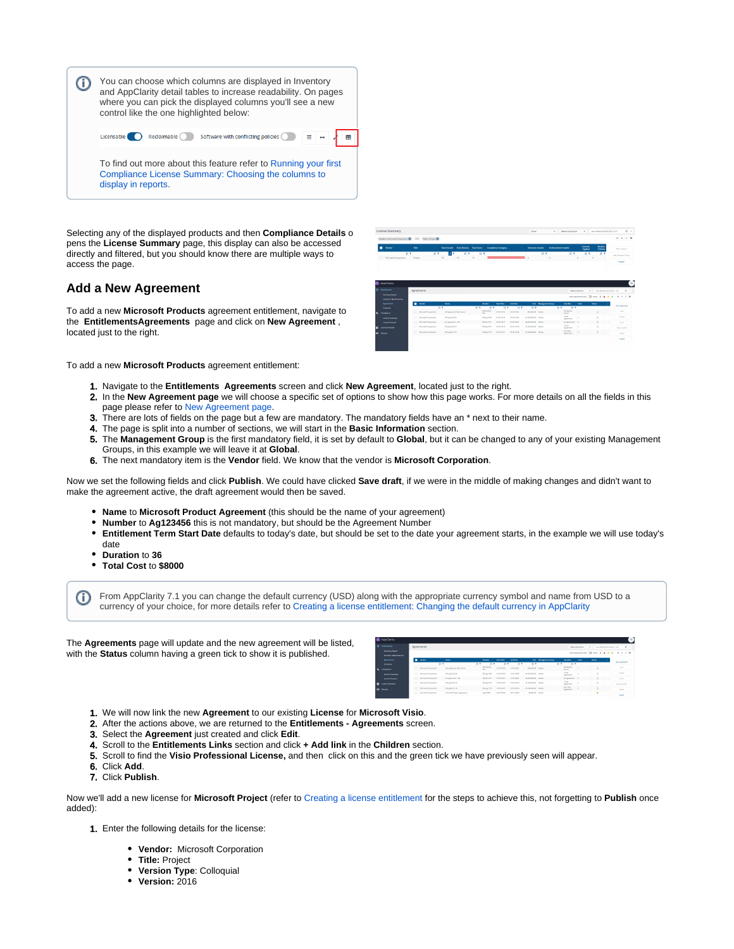

Selecting any of the displayed products and then **Compliance Details** o pens the **License Summary** page, this display can also be accessed directly and filtered, but you should know there are multiple ways to access the page.

## <span id="page-1-0"></span>**Add a New Agreement**

To add a new **Microsoft Products** agreement entitlement, navigate to the **EntitlementsAgreements** page and click on **New Agreement** , located just to the right.

| Venter                                                        | tio-           |                     | <b>Tend Installs</b> Tend Devices Tend Users |                         |                             | <b>Compilence Category</b>      |                    | <b>Universe Installs</b> |                               | <b>Shelmusilized Installs</b>      | Licensen<br>Austind     | <b>Brotales</b><br>Policies | Add License                |
|---------------------------------------------------------------|----------------|---------------------|----------------------------------------------|-------------------------|-----------------------------|---------------------------------|--------------------|--------------------------|-------------------------------|------------------------------------|-------------------------|-----------------------------|----------------------------|
| <b>HY</b><br>Meresoft Corporation<br>m                        | Project        | 請す                  | <b>B</b> T<br>10 <sup>1</sup>                | 開業<br>59                | <b>B</b> <sub>T</sub><br>16 |                                 |                    | $\circ$                  | 排件<br>$\circ$                 | <b>IL Y</b>                        | D.                      | B Y<br>計開<br>×.             | Add Reclaim Police         |
|                                                               |                |                     |                                              |                         |                             |                                 |                    |                          |                               |                                    |                         |                             | <b>Export</b>              |
|                                                               |                |                     |                                              |                         |                             |                                 |                    |                          |                               |                                    |                         |                             |                            |
|                                                               |                |                     |                                              |                         |                             |                                 |                    |                          |                               |                                    |                         |                             |                            |
|                                                               |                |                     |                                              |                         |                             |                                 |                    |                          |                               |                                    |                         |                             |                            |
|                                                               |                |                     |                                              |                         |                             |                                 |                    |                          |                               |                                    |                         |                             |                            |
|                                                               |                |                     |                                              |                         |                             |                                 |                    |                          |                               |                                    |                         |                             |                            |
|                                                               |                |                     |                                              |                         |                             |                                 |                    |                          |                               |                                    |                         |                             |                            |
|                                                               |                |                     |                                              |                         |                             |                                 |                    |                          |                               |                                    |                         | ×                           |                            |
| <b>AppClarity</b><br><b>Encidements</b><br>Summary Report     | Agreements     |                     |                                              |                         |                             |                                 |                    |                          |                               |                                    | <b>Diffult STORPHIT</b> |                             | Call whenes spending in as |
| <b>Linenses / Maintenances</b>                                |                |                     |                                              |                         |                             |                                 |                    |                          |                               |                                    |                         | anagements (Those R.A.A.    | $-7.0$<br>٠<br><b>A</b>    |
|                                                               | <b>B</b> Store |                     | New                                          |                         | <b>Mambus</b>               | <b>Start Date</b>               | Indiana            |                          | <b>Com Management Conseil</b> | Mercifian                          | <b>Links</b>            | Gunna                       |                            |
| Accounts<br>Company                                           |                |                     | $H - T$                                      |                         | $\overline{H}$              | 21.7<br>$\overline{H}$          | $\overline{H}$     | $\overline{H}$           |                               | $\overline{H}$<br>$\overline{H/T}$ |                         |                             | <b>Floor Agreement</b>     |
|                                                               | n              | Mooret Corporation  |                                              | MS Agreement SQL Senier |                             | MEAS SOL<br><b>Indicate</b>     | avenoses           | \$50,000.00 Google       |                               | ME Av SOL                          |                         | B                           | <b>TAY</b>                 |
|                                                               |                |                     |                                              |                         | <b>Si</b>                   |                                 |                    |                          |                               | <b>Service</b><br>5 Fear           |                         |                             | Publish                    |
|                                                               | m              | MotelA Corporation  | MEANOTH 20                                   |                         |                             | MEANTRO<br>graphics in          | <b>STARS COURS</b> | \$1,500,000.00 Bloket    |                               | <b><i><u>Le same</u>nt</i></b>     |                         | ø                           |                            |
| Constant<br><b>General Seconds</b><br><b>Connect Position</b> | m              | Moresh Corporation  | EAAproximate 1553                            |                         |                             | MIGATION<br>graph card          | <b>STARS COLD</b>  | MOX00000 Bullet          |                               | EXAprement 2<br>27 <sub>h</sub>    |                         | $\mathbb{R}$                | Cons.                      |
| <b>General Demand</b>                                         | $\sqrt{2}$     | Morrent Corporation | MEARCES IN                                   |                         |                             | Midwidth<br><b>STARS COLUMN</b> | <b>STICK COVID</b> | E130000000 British       |                               | Apsender                           |                         | $\mathbb{R}$                | move to braft              |
| <b>DO</b> Protein                                             | n              | Monach Corporation  | MEANORCH III                                 |                         |                             | Midwiths<br>graps.com           | graduated          | \$1,500,000,00 Bloke     |                               | First New<br>Appartment            | ٠                       | $\Omega$                    | Debite                     |

To add a new **Microsoft Products** agreement entitlement:

- 1. Navigate to the **Entitlements Agreements** screen and click **New Agreement**, located just to the right.
- 2. In the **New Agreement page** we will choose a specific set of options to show how this page works. For more details on all the fields in this page please refer to [New Agreement page.](https://help.1e.com/display/APC71/New+Agreement+page)
- 3. There are lots of fields on the page but a few are mandatory. The mandatory fields have an \* next to their name.
- 4. The page is split into a number of sections, we will start in the **Basic Information** section.
- 5. The **Management Group** is the first mandatory field, it is set by default to **Global**, but it can be changed to any of your existing Management Groups, in this example we will leave it at **Global**.
- 6. The next mandatory item is the **Vendor** field. We know that the vendor is **Microsoft Corporation**.

Now we set the following fields and click **Publish**. We could have clicked **Save draft**, if we were in the middle of making changes and didn't want to make the agreement active, the draft agreement would then be saved.

- **Name** to **Microsoft Product Agreement** (this should be the name of your agreement)
- **Number** to **Ag123456** this is not mandatory, but should be the Agreement Number
- **Entitlement Term Start Date** defaults to today's date, but should be set to the date your agreement starts, in the example we will use today's date
- **Duration** to **36**
- **Total Cost** to **\$8000**

O) From AppClarity 7.1 you can change the default currency (USD) along with the appropriate currency symbol and name from USD to a currency of your choice, for more details refer to [Creating a license entitlement: Changing the default currency in AppClarity](https://help.1e.com/display/APC71/Creating+a+license+entitlement#Creatingalicenseentitlement-changingdefaultcurrency)

The **Agreements** page will update and the new agreement will be listed, with the **Status** column having a green tick to show it is published.

|           | <b>BE ADDUTING</b>     |   |                                      |                            |                   |             |                   |                      |                       |                               |      |                                |                                            |
|-----------|------------------------|---|--------------------------------------|----------------------------|-------------------|-------------|-------------------|----------------------|-----------------------|-------------------------------|------|--------------------------------|--------------------------------------------|
| <b>IN</b> | <b>Excitement</b>      |   | Arresments<br><b>Celeur Entiment</b> |                            |                   |             |                   |                      |                       |                               |      | Lea whereastern book 1105<br>٠ | $\alpha$ .                                 |
|           | <b>Summary Report</b>  |   |                                      |                            |                   |             |                   |                      |                       |                               |      |                                | anythenesis on Clinton, it A a a a r = 2 m |
|           | Ucenses / Mantenances  |   |                                      |                            |                   |             |                   |                      |                       |                               |      |                                |                                            |
|           | <b>Accuración</b>      | п | <b>Vendor</b>                        | <b>Hans</b>                | <b>Number</b>     | Start Elect | <b>Gred Event</b> |                      | Cost Management Group | Monther                       | 1244 | <b>Status</b>                  | <b>Say Arrenaed</b>                        |
|           | Contagna               |   | は1                                   | 岩下                         | <b>IF Y</b>       | 防菌          | <b>IE T</b>       | <b>IT T</b>          | 打す                    | 若す                            |      |                                |                                            |
|           | <b>A</b> Constant      |   | <b>C. Margart Cooperator</b>         | 185 Amenders SOL Senar     | MS4550L<br>n.     | company)    | compost           | 1000030 Glori        |                       | MS 4g SQL<br>tena             |      | B                              | <b>Tel</b>                                 |
|           | <b>General Summary</b> | m | Margaret Corporation                 | <b>M3-Ap-2019-22</b>       | <b>MS-Ap 1922</b> | compone     | 01/07/2020        | 11.300.000.00 Global |                       | 5 Year<br>Amsenger            |      | i.                             | Publish                                    |
|           | <b>Cicerea Peorose</b> | m | Margaret Corporation                 | SAAprenheid - 553          | <b>MORATES</b>    | compact in  | <b>CARDIOCET</b>  | \$4,000,000.00 Child |                       | El Aprovent 2                 |      | <b>D</b>                       | One                                        |
|           | <b>Ed Comme Demand</b> | m | Margaret Corporation                 | 103-Ap-2018-19             | AS-Actors         | compose     | <b>CUSTODER</b>   | 11,500,000.00 Global |                       | 2 Year<br>Amsanger            |      | B                              | Alors is Draft                             |
|           | <b>DO</b> Room         |   | C. Margaret Companies                | <b>MSAv201718</b>          | Mine ITEL         | comport     | <b>CURRICULE</b>  | 11.000.000.00 Global |                       | <b>First Pear</b><br>Apsender |      | R                              | book                                       |
|           |                        |   | C) Margaret Corporation              | Margaret Project Agreement | AV2309            | 08/13/2020  | CS11QCET          | 18,000.00 China      |                       |                               |      | ۰                              | <b>STATISTICS</b>                          |

- 1. We will now link the new **Agreement** to our existing **License** for **Microsoft Visio**.
- 2. After the actions above, we are returned to the **Entitlements Agreements** screen.
- 3. Select the **Agreement** just created and click **Edit**.
- 4. Scroll to the **Entitlements Links** section and click **+ Add link** in the **Children** section.
- 5. Scroll to find the **Visio Professional License,** and then click on this and the green tick we have previously seen will appear.
- 6. Click **Add**.
- 7. Click **Publish**.

Now we'll add a new license for **Microsoft Project** (refer to [Creating a license entitlement](https://help.1e.com/display/APC71/Creating+a+license+entitlement) for the steps to achieve this, not forgetting to **Publish** once added):

- 1. Enter the following details for the license:
	- **Vendor:** Microsoft Corporation
		- **Title:** Project
		- **Version Type**: Colloquial
		- **Version:** 2016